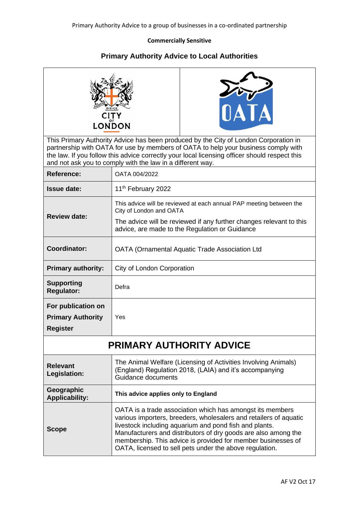## **Commercially Sensitive**

## **Primary Authority Advice to Local Authorities**

|                                                                   | <b>DIRIGE</b><br>CITY<br>LONDON<br>and not ask you to comply with the law in a different way.                                                                                                                           | DATA<br>This Primary Authority Advice has been produced by the City of London Corporation in<br>partnership with OATA for use by members of OATA to help your business comply with<br>the law. If you follow this advice correctly your local licensing officer should respect this                                                                                                   |  |
|-------------------------------------------------------------------|-------------------------------------------------------------------------------------------------------------------------------------------------------------------------------------------------------------------------|---------------------------------------------------------------------------------------------------------------------------------------------------------------------------------------------------------------------------------------------------------------------------------------------------------------------------------------------------------------------------------------|--|
| <b>Reference:</b>                                                 | OATA 004/2022                                                                                                                                                                                                           |                                                                                                                                                                                                                                                                                                                                                                                       |  |
| <b>Issue date:</b>                                                | 11 <sup>th</sup> February 2022                                                                                                                                                                                          |                                                                                                                                                                                                                                                                                                                                                                                       |  |
| <b>Review date:</b>                                               | This advice will be reviewed at each annual PAP meeting between the<br>City of London and OATA<br>The advice will be reviewed if any further changes relevant to this<br>advice, are made to the Regulation or Guidance |                                                                                                                                                                                                                                                                                                                                                                                       |  |
| <b>Coordinator:</b>                                               | OATA (Ornamental Aquatic Trade Association Ltd                                                                                                                                                                          |                                                                                                                                                                                                                                                                                                                                                                                       |  |
| <b>Primary authority:</b>                                         | City of London Corporation                                                                                                                                                                                              |                                                                                                                                                                                                                                                                                                                                                                                       |  |
| <b>Supporting</b><br><b>Regulator:</b>                            | Defra                                                                                                                                                                                                                   |                                                                                                                                                                                                                                                                                                                                                                                       |  |
| For publication on<br><b>Primary Authority</b><br><b>Register</b> | Yes                                                                                                                                                                                                                     |                                                                                                                                                                                                                                                                                                                                                                                       |  |
| <b>PRIMARY AUTHORITY ADVICE</b>                                   |                                                                                                                                                                                                                         |                                                                                                                                                                                                                                                                                                                                                                                       |  |
| <b>Relevant</b><br>Legislation:                                   | Guidance documents                                                                                                                                                                                                      | The Animal Welfare (Licensing of Activities Involving Animals)<br>(England) Regulation 2018, (LAIA) and it's accompanying                                                                                                                                                                                                                                                             |  |
| Geographic<br><b>Applicability:</b>                               | This advice applies only to England                                                                                                                                                                                     |                                                                                                                                                                                                                                                                                                                                                                                       |  |
| <b>Scope</b>                                                      |                                                                                                                                                                                                                         | OATA is a trade association which has amongst its members<br>various importers, breeders, wholesalers and retailers of aquatic<br>livestock including aquarium and pond fish and plants.<br>Manufacturers and distributors of dry goods are also among the<br>membership. This advice is provided for member businesses of<br>OATA, licensed to sell pets under the above regulation. |  |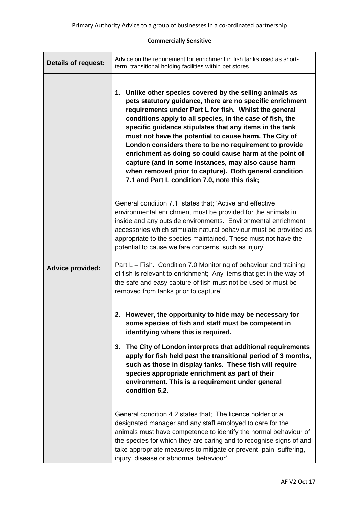## **Commercially Sensitive**

| <b>Details of request:</b> | Advice on the requirement for enrichment in fish tanks used as short-<br>term, transitional holding facilities within pet stores.                                                                                                                                                                                                                                                                                                                                                                                                                                                                                                                         |  |
|----------------------------|-----------------------------------------------------------------------------------------------------------------------------------------------------------------------------------------------------------------------------------------------------------------------------------------------------------------------------------------------------------------------------------------------------------------------------------------------------------------------------------------------------------------------------------------------------------------------------------------------------------------------------------------------------------|--|
|                            | 1. Unlike other species covered by the selling animals as<br>pets statutory guidance, there are no specific enrichment<br>requirements under Part L for fish. Whilst the general<br>conditions apply to all species, in the case of fish, the<br>specific guidance stipulates that any items in the tank<br>must not have the potential to cause harm. The City of<br>London considers there to be no requirement to provide<br>enrichment as doing so could cause harm at the point of<br>capture (and in some instances, may also cause harm<br>when removed prior to capture). Both general condition<br>7.1 and Part L condition 7.0, note this risk; |  |
|                            | General condition 7.1, states that; 'Active and effective<br>environmental enrichment must be provided for the animals in<br>inside and any outside environments. Environmental enrichment<br>accessories which stimulate natural behaviour must be provided as<br>appropriate to the species maintained. These must not have the<br>potential to cause welfare concerns, such as injury'.                                                                                                                                                                                                                                                                |  |
| <b>Advice provided:</b>    | Part L – Fish. Condition 7.0 Monitoring of behaviour and training<br>of fish is relevant to enrichment; 'Any items that get in the way of<br>the safe and easy capture of fish must not be used or must be<br>removed from tanks prior to capture'.                                                                                                                                                                                                                                                                                                                                                                                                       |  |
|                            | 2. However, the opportunity to hide may be necessary for<br>some species of fish and staff must be competent in<br>identifying where this is required.                                                                                                                                                                                                                                                                                                                                                                                                                                                                                                    |  |
|                            | The City of London interprets that additional requirements<br>3.<br>apply for fish held past the transitional period of 3 months,<br>such as those in display tanks. These fish will require<br>species appropriate enrichment as part of their<br>environment. This is a requirement under general<br>condition 5.2.                                                                                                                                                                                                                                                                                                                                     |  |
|                            | General condition 4.2 states that; 'The licence holder or a<br>designated manager and any staff employed to care for the<br>animals must have competence to identify the normal behaviour of<br>the species for which they are caring and to recognise signs of and<br>take appropriate measures to mitigate or prevent, pain, suffering,<br>injury, disease or abnormal behaviour'.                                                                                                                                                                                                                                                                      |  |